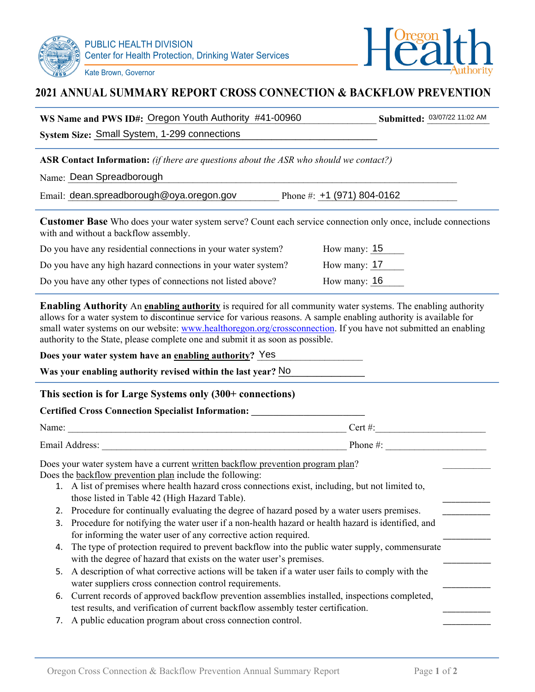



# **2021 ANNUAL SUMMARY REPORT CROSS CONNECTION & BACKFLOW PREVENTION**

|                                                                                                                                                                                                                                                                                                                                                                                                                                                                                                                                                                   | WS Name and PWS ID#: Oregon Youth Authority #41-00960                                                                                                                             | Submitted: 03/07/22 11:02 AM |  |  |  |
|-------------------------------------------------------------------------------------------------------------------------------------------------------------------------------------------------------------------------------------------------------------------------------------------------------------------------------------------------------------------------------------------------------------------------------------------------------------------------------------------------------------------------------------------------------------------|-----------------------------------------------------------------------------------------------------------------------------------------------------------------------------------|------------------------------|--|--|--|
|                                                                                                                                                                                                                                                                                                                                                                                                                                                                                                                                                                   | System Size: Small System, 1-299 connections                                                                                                                                      |                              |  |  |  |
| <b>ASR Contact Information:</b> (if there are questions about the ASR who should we contact?)<br>Name: Dean Spreadborough                                                                                                                                                                                                                                                                                                                                                                                                                                         |                                                                                                                                                                                   |                              |  |  |  |
|                                                                                                                                                                                                                                                                                                                                                                                                                                                                                                                                                                   | Email: dean.spreadborough@oya.oregon.gov Phone #: +1 (971) 804-0162                                                                                                               |                              |  |  |  |
| <b>Customer Base</b> Who does your water system serve? Count each service connection only once, include connections<br>with and without a backflow assembly.                                                                                                                                                                                                                                                                                                                                                                                                      |                                                                                                                                                                                   |                              |  |  |  |
|                                                                                                                                                                                                                                                                                                                                                                                                                                                                                                                                                                   | Do you have any residential connections in your water system?<br>How many: $15$                                                                                                   |                              |  |  |  |
|                                                                                                                                                                                                                                                                                                                                                                                                                                                                                                                                                                   | How many: $17$<br>Do you have any high hazard connections in your water system?                                                                                                   |                              |  |  |  |
|                                                                                                                                                                                                                                                                                                                                                                                                                                                                                                                                                                   | How many: 16<br>Do you have any other types of connections not listed above?                                                                                                      |                              |  |  |  |
| Enabling Authority An enabling authority is required for all community water systems. The enabling authority<br>allows for a water system to discontinue service for various reasons. A sample enabling authority is available for<br>small water systems on our website: www.healthoregon.org/crossconnection. If you have not submitted an enabling<br>authority to the State, please complete one and submit it as soon as possible.<br>Does your water system have an enabling authority? Yes<br>Was your enabling authority revised within the last year? No |                                                                                                                                                                                   |                              |  |  |  |
| This section is for Large Systems only (300+ connections)                                                                                                                                                                                                                                                                                                                                                                                                                                                                                                         |                                                                                                                                                                                   |                              |  |  |  |
|                                                                                                                                                                                                                                                                                                                                                                                                                                                                                                                                                                   | Certified Cross Connection Specialist Information: _____________________________                                                                                                  |                              |  |  |  |
|                                                                                                                                                                                                                                                                                                                                                                                                                                                                                                                                                                   |                                                                                                                                                                                   |                              |  |  |  |
|                                                                                                                                                                                                                                                                                                                                                                                                                                                                                                                                                                   |                                                                                                                                                                                   |                              |  |  |  |
| Does your water system have a current written backflow prevention program plan?<br>Does the backflow prevention plan include the following:<br>1. A list of premises where health hazard cross connections exist, including, but not limited to,                                                                                                                                                                                                                                                                                                                  |                                                                                                                                                                                   |                              |  |  |  |
|                                                                                                                                                                                                                                                                                                                                                                                                                                                                                                                                                                   | those listed in Table 42 (High Hazard Table).                                                                                                                                     |                              |  |  |  |
| 2.                                                                                                                                                                                                                                                                                                                                                                                                                                                                                                                                                                | Procedure for continually evaluating the degree of hazard posed by a water users premises.                                                                                        |                              |  |  |  |
| 3.                                                                                                                                                                                                                                                                                                                                                                                                                                                                                                                                                                | Procedure for notifying the water user if a non-health hazard or health hazard is identified, and<br>for informing the water user of any corrective action required.              |                              |  |  |  |
| 4.                                                                                                                                                                                                                                                                                                                                                                                                                                                                                                                                                                | The type of protection required to prevent backflow into the public water supply, commensurate<br>with the degree of hazard that exists on the water user's premises.             |                              |  |  |  |
| 5.                                                                                                                                                                                                                                                                                                                                                                                                                                                                                                                                                                | A description of what corrective actions will be taken if a water user fails to comply with the                                                                                   |                              |  |  |  |
|                                                                                                                                                                                                                                                                                                                                                                                                                                                                                                                                                                   | water suppliers cross connection control requirements.                                                                                                                            |                              |  |  |  |
| 6.                                                                                                                                                                                                                                                                                                                                                                                                                                                                                                                                                                | Current records of approved backflow prevention assemblies installed, inspections completed,<br>test results, and verification of current backflow assembly tester certification. |                              |  |  |  |
| 7.                                                                                                                                                                                                                                                                                                                                                                                                                                                                                                                                                                | A public education program about cross connection control.                                                                                                                        |                              |  |  |  |